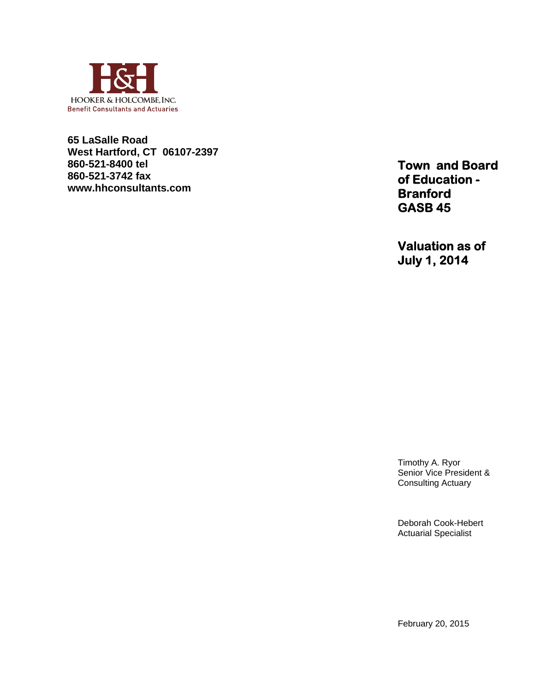

**65 LaSalle Road West Hartford, CT 06107-2397 860-521-8400 tel 860-521-3742 fax www.hhconsultants.com**

**Town and Board of Education - Branford GASB 45** 

**Valuation as of July 1, 2014** 

Timothy A. Ryor Senior Vice President & Consulting Actuary

Deborah Cook-Hebert Actuarial Specialist

February 20, 2015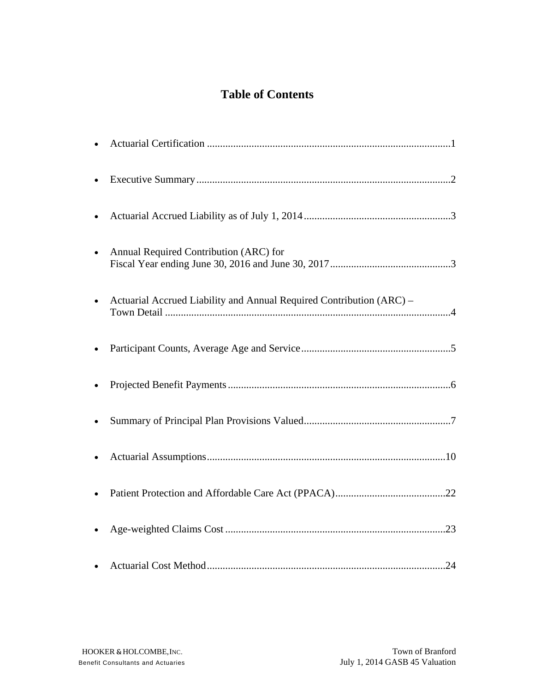## **Table of Contents**

| Annual Required Contribution (ARC) for                               |
|----------------------------------------------------------------------|
| Actuarial Accrued Liability and Annual Required Contribution (ARC) - |
|                                                                      |
|                                                                      |
|                                                                      |
|                                                                      |
|                                                                      |
|                                                                      |
|                                                                      |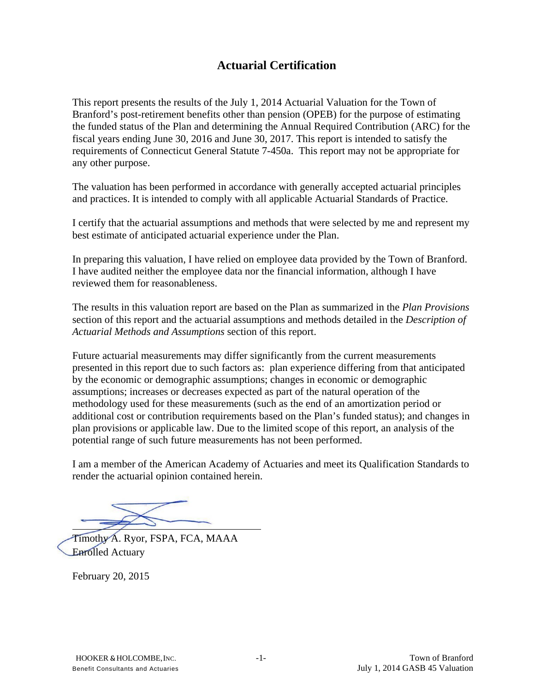### **Actuarial Certification**

This report presents the results of the July 1, 2014 Actuarial Valuation for the Town of Branford's post-retirement benefits other than pension (OPEB) for the purpose of estimating the funded status of the Plan and determining the Annual Required Contribution (ARC) for the fiscal years ending June 30, 2016 and June 30, 2017. This report is intended to satisfy the requirements of Connecticut General Statute 7-450a. This report may not be appropriate for any other purpose.

The valuation has been performed in accordance with generally accepted actuarial principles and practices. It is intended to comply with all applicable Actuarial Standards of Practice.

I certify that the actuarial assumptions and methods that were selected by me and represent my best estimate of anticipated actuarial experience under the Plan.

In preparing this valuation, I have relied on employee data provided by the Town of Branford. I have audited neither the employee data nor the financial information, although I have reviewed them for reasonableness.

The results in this valuation report are based on the Plan as summarized in the *Plan Provisions* section of this report and the actuarial assumptions and methods detailed in the *Description of Actuarial Methods and Assumptions* section of this report.

Future actuarial measurements may differ significantly from the current measurements presented in this report due to such factors as: plan experience differing from that anticipated by the economic or demographic assumptions; changes in economic or demographic assumptions; increases or decreases expected as part of the natural operation of the methodology used for these measurements (such as the end of an amortization period or additional cost or contribution requirements based on the Plan's funded status); and changes in plan provisions or applicable law. Due to the limited scope of this report, an analysis of the potential range of such future measurements has not been performed.

I am a member of the American Academy of Actuaries and meet its Qualification Standards to render the actuarial opinion contained herein.

 $\overline{a}$ 

Timothy A. Ryor, FSPA, FCA, MAAA Enrolled Actuary

February 20, 2015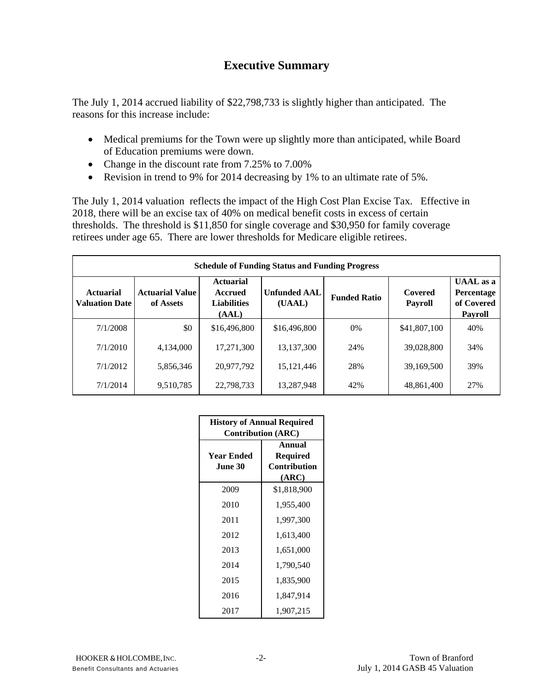### **Executive Summary**

The July 1, 2014 accrued liability of \$22,798,733 is slightly higher than anticipated. The reasons for this increase include:

- Medical premiums for the Town were up slightly more than anticipated, while Board of Education premiums were down.
- Change in the discount rate from 7.25% to 7.00%
- Revision in trend to 9% for 2014 decreasing by 1% to an ultimate rate of 5%.

The July 1, 2014 valuation reflects the impact of the High Cost Plan Excise Tax. Effective in 2018, there will be an excise tax of 40% on medical benefit costs in excess of certain thresholds. The threshold is \$11,850 for single coverage and \$30,950 for family coverage retirees under age 65. There are lower thresholds for Medicare eligible retirees.

| <b>Schedule of Funding Status and Funding Progress</b> |                                     |                                                                   |                               |                     |                           |                                                                      |  |  |  |
|--------------------------------------------------------|-------------------------------------|-------------------------------------------------------------------|-------------------------------|---------------------|---------------------------|----------------------------------------------------------------------|--|--|--|
| <b>Actuarial</b><br><b>Valuation Date</b>              | <b>Actuarial Value</b><br>of Assets | <b>Actuarial</b><br><b>Accrued</b><br><b>Liabilities</b><br>(AAL) | <b>Unfunded AAL</b><br>(UAAL) | <b>Funded Ratio</b> | Covered<br><b>Payroll</b> | $\overline{\text{UAAL}}$ as a<br>Percentage<br>of Covered<br>Payroll |  |  |  |
| 7/1/2008                                               | \$0                                 | \$16,496,800                                                      | \$16,496,800                  | 0%                  | \$41,807,100              | 40%                                                                  |  |  |  |
| 7/1/2010                                               | 4,134,000                           | 17,271,300                                                        | 13,137,300                    | 24%                 | 39,028,800                | 34%                                                                  |  |  |  |
| 7/1/2012                                               | 5,856,346                           | 20,977,792                                                        | 15, 121, 446                  | 28%                 | 39,169,500                | 39%                                                                  |  |  |  |
| 7/1/2014                                               | 9,510,785                           | 22,798,733                                                        | 13,287,948                    | 42%                 | 48,861,400                | 27%                                                                  |  |  |  |

| <b>History of Annual Required</b><br><b>Contribution (ARC)</b> |                                                    |  |  |  |  |
|----------------------------------------------------------------|----------------------------------------------------|--|--|--|--|
| Year Ended<br><b>June 30</b>                                   | <b>Annual</b><br>Required<br>Contribution<br>(ARC) |  |  |  |  |
| 2009                                                           | \$1,818,900                                        |  |  |  |  |
| 2010                                                           | 1,955,400                                          |  |  |  |  |
| 2011                                                           | 1,997,300                                          |  |  |  |  |
| 2012                                                           | 1,613,400                                          |  |  |  |  |
| 2013                                                           | 1,651,000                                          |  |  |  |  |
| 2014                                                           | 1,790,540                                          |  |  |  |  |
| 2015                                                           | 1,835,900                                          |  |  |  |  |
| 2016                                                           | 1,847,914                                          |  |  |  |  |
| 2017                                                           | 1,907,215                                          |  |  |  |  |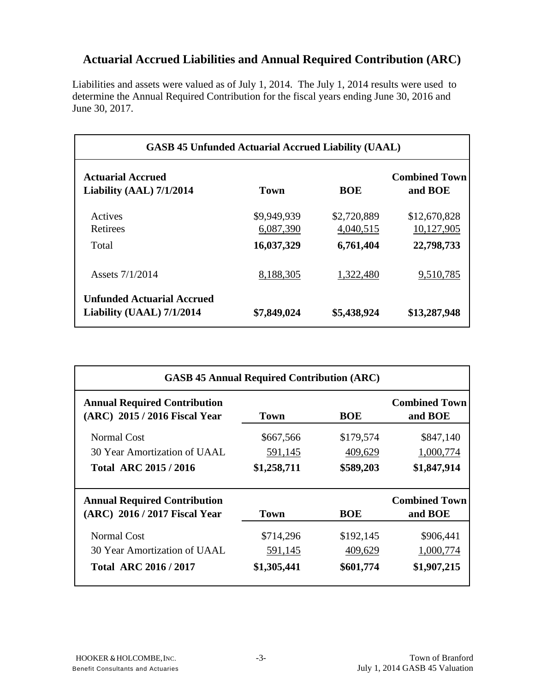# **Actuarial Accrued Liabilities and Annual Required Contribution (ARC)**

Liabilities and assets were valued as of July 1, 2014. The July 1, 2014 results were used to determine the Annual Required Contribution for the fiscal years ending June 30, 2016 and June 30, 2017.

| <b>GASB 45 Unfunded Actuarial Accrued Liability (UAAL)</b> |                          |                          |                                 |  |  |  |
|------------------------------------------------------------|--------------------------|--------------------------|---------------------------------|--|--|--|
| <b>Actuarial Accrued</b><br>Liability (AAL) 7/1/2014       | Town                     | <b>BOE</b>               | <b>Combined Town</b><br>and BOE |  |  |  |
| Actives<br>Retirees                                        | \$9,949,939<br>6,087,390 | \$2,720,889<br>4,040,515 | \$12,670,828<br>10,127,905      |  |  |  |
| Total                                                      | 16,037,329               | 6,761,404                | 22,798,733                      |  |  |  |
| Assets 7/1/2014                                            | 8,188,305                | 1,322,480                | 9,510,785                       |  |  |  |
| Unfunded Actuarial Accrued<br>Liability (UAAL) 7/1/2014    | \$7,849,024              | \$5,438,924              | \$13,287,948                    |  |  |  |

| <b>GASB 45 Annual Required Contribution (ARC)</b>                    |             |            |                                 |  |  |  |
|----------------------------------------------------------------------|-------------|------------|---------------------------------|--|--|--|
| <b>Annual Required Contribution</b><br>(ARC) 2015 / 2016 Fiscal Year | Town        | BOE        | <b>Combined Town</b><br>and BOE |  |  |  |
| <b>Normal Cost</b>                                                   | \$667,566   | \$179,574  | \$847,140                       |  |  |  |
| 30 Year Amortization of UAAL                                         | 591,145     | 409,629    | 1,000,774                       |  |  |  |
| Total ARC 2015 / 2016                                                | \$1,258,711 | \$589,203  | \$1,847,914                     |  |  |  |
|                                                                      |             |            |                                 |  |  |  |
| <b>Annual Required Contribution</b><br>(ARC) 2016 / 2017 Fiscal Year | Town        | <b>BOE</b> | <b>Combined Town</b><br>and BOE |  |  |  |
| Normal Cost                                                          | \$714,296   | \$192,145  | \$906,441                       |  |  |  |
| 30 Year Amortization of UAAL                                         | 591,145     | 409,629    | 1,000,774                       |  |  |  |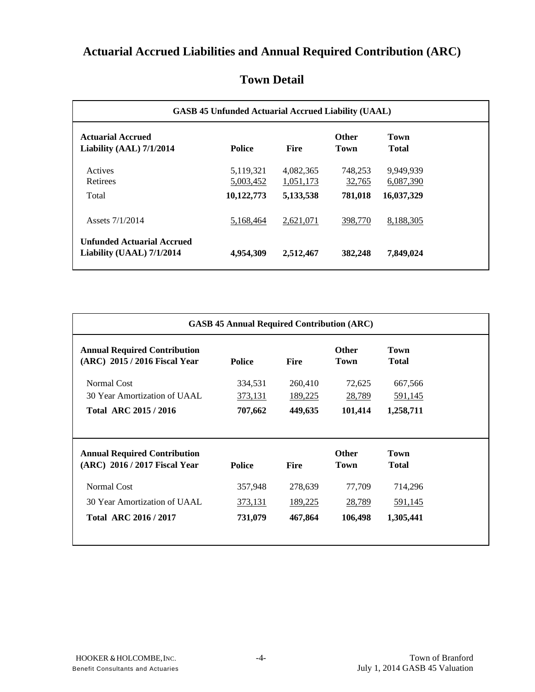# **Actuarial Accrued Liabilities and Annual Required Contribution (ARC)**

| <b>GASB 45 Unfunded Actuarial Accrued Liability (UAAL)</b>     |                                      |                                     |                              |                                      |  |  |
|----------------------------------------------------------------|--------------------------------------|-------------------------------------|------------------------------|--------------------------------------|--|--|
| <b>Actuarial Accrued</b><br>Liability (AAL) 7/1/2014           | <b>Police</b>                        | <b>Fire</b>                         | <b>Other</b><br>Town         | Town<br>Total                        |  |  |
| Actives<br>Retirees<br>Total                                   | 5,119,321<br>5,003,452<br>10,122,773 | 4,082,365<br>1,051,173<br>5,133,538 | 748,253<br>32,765<br>781,018 | 9,949,939<br>6,087,390<br>16,037,329 |  |  |
| Assets 7/1/2014                                                | 5,168,464                            | 2,621,071                           | 398,770                      | 8,188,305                            |  |  |
| <b>Unfunded Actuarial Accrued</b><br>Liability (UAAL) 7/1/2014 | 4,954,309                            | 2,512,467                           | 382,248                      | 7,849,024                            |  |  |

## **Town Detail**

| <b>Annual Required Contribution</b><br>(ARC) 2015 / 2016 Fiscal Year | <b>Police</b> | <b>Fire</b>    | <b>Other</b><br>Town        | <b>Town</b><br><b>Total</b> |
|----------------------------------------------------------------------|---------------|----------------|-----------------------------|-----------------------------|
| Normal Cost                                                          | 334,531       | 260,410        | 72,625                      | 667,566                     |
| 30 Year Amortization of UAAL.                                        | 373,131       | <u>189,225</u> | 28,789                      | <u>591,145</u>              |
| <b>Total ARC 2015 / 2016</b>                                         | 707,662       | 449,635        | 101,414                     | 1,258,711                   |
| <b>Annual Required Contribution</b><br>(ARC) 2016 / 2017 Fiscal Year | <b>Police</b> | <b>Fire</b>    | <b>Other</b><br><b>Town</b> | <b>Town</b><br><b>Total</b> |
|                                                                      |               |                |                             |                             |
| Normal Cost                                                          | 357,948       | 278,639        | 77,709                      | 714,296                     |
| 30 Year Amortization of UAAL                                         | 373,131       | 189,225        | 28,789                      | 591,145                     |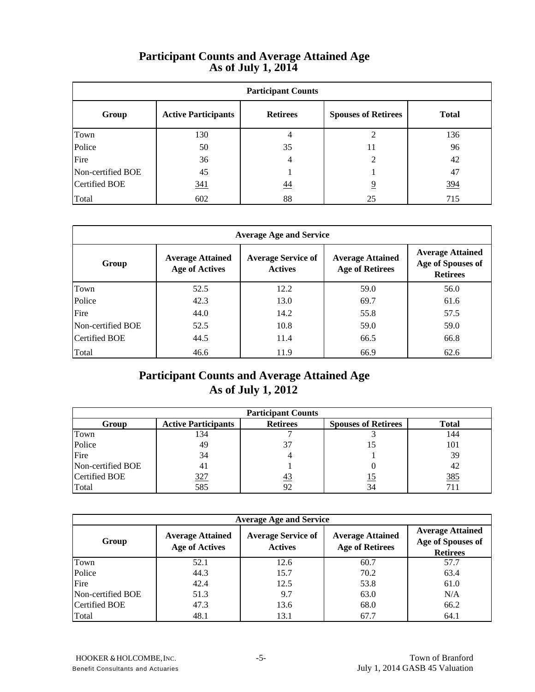#### **Participant Counts and Average Attained AgeAs of July 1, 2014**

| <b>Participant Counts</b> |                            |                 |                            |              |  |  |  |
|---------------------------|----------------------------|-----------------|----------------------------|--------------|--|--|--|
| Group                     | <b>Active Participants</b> | <b>Retirees</b> | <b>Spouses of Retirees</b> | <b>Total</b> |  |  |  |
| Town                      | 130                        | 4               | ↑                          | 136          |  |  |  |
| Police                    | 50                         | 35              | 11                         | 96           |  |  |  |
| Fire                      | 36                         | $\overline{4}$  | $\mathfrak{D}$             | 42           |  |  |  |
| Non-certified BOE         | 45                         |                 |                            | 47           |  |  |  |
| <b>Certified BOE</b>      | 341                        | $\overline{44}$ | 9                          | 394          |  |  |  |
| Total                     | 602                        | 88              | 25                         | 715          |  |  |  |

| <b>Average Age and Service</b> |                                                  |                                             |                                                   |                                                                 |  |  |  |
|--------------------------------|--------------------------------------------------|---------------------------------------------|---------------------------------------------------|-----------------------------------------------------------------|--|--|--|
| Group                          | <b>Average Attained</b><br><b>Age of Actives</b> | <b>Average Service of</b><br><b>Actives</b> | <b>Average Attained</b><br><b>Age of Retirees</b> | <b>Average Attained</b><br>Age of Spouses of<br><b>Retirees</b> |  |  |  |
| Town                           | 52.5                                             | 12.2                                        | 59.0                                              | 56.0                                                            |  |  |  |
| Police                         | 42.3                                             | 13.0                                        | 69.7                                              | 61.6                                                            |  |  |  |
| Fire                           | 44.0                                             | 14.2                                        | 55.8                                              | 57.5                                                            |  |  |  |
| Non-certified BOE              | 52.5                                             | 10.8                                        | 59.0                                              | 59.0                                                            |  |  |  |
| <b>Certified BOE</b>           | 44.5                                             | 11.4                                        | 66.5                                              | 66.8                                                            |  |  |  |
| Total                          | 46.6                                             | 11.9                                        | 66.9                                              | 62.6                                                            |  |  |  |

## **Participant Counts and Average Attained Age As of July 1, 2012**

| <b>Participant Counts</b> |                            |                 |                            |              |  |  |
|---------------------------|----------------------------|-----------------|----------------------------|--------------|--|--|
| Group                     | <b>Active Participants</b> | <b>Retirees</b> | <b>Spouses of Retirees</b> | <b>Total</b> |  |  |
| Town                      | 134                        |                 |                            | 144          |  |  |
| Police                    | 49                         | 37              | 15                         | 101          |  |  |
| Fire                      | 34                         |                 |                            | 39           |  |  |
| Non-certified BOE         | 41                         |                 |                            | 42           |  |  |
| Certified BOE             | <u>327</u>                 | $\frac{43}{2}$  | 15                         | <u>385</u>   |  |  |
| Total                     | 585                        | 92              |                            | 711          |  |  |

| <b>Average Age and Service</b> |                                                  |                                             |                                                   |                                                                 |  |  |  |
|--------------------------------|--------------------------------------------------|---------------------------------------------|---------------------------------------------------|-----------------------------------------------------------------|--|--|--|
| Group                          | <b>Average Attained</b><br><b>Age of Actives</b> | <b>Average Service of</b><br><b>Actives</b> | <b>Average Attained</b><br><b>Age of Retirees</b> | <b>Average Attained</b><br>Age of Spouses of<br><b>Retirees</b> |  |  |  |
| Town                           | 52.1                                             | 12.6                                        | 60.7                                              | 57.7                                                            |  |  |  |
| Police                         | 44.3                                             | 15.7                                        | 70.2                                              | 63.4                                                            |  |  |  |
| Fire                           | 42.4                                             | 12.5                                        | 53.8                                              | 61.0                                                            |  |  |  |
| Non-certified BOE              | 51.3                                             | 9.7                                         | 63.0                                              | N/A                                                             |  |  |  |
| Certified BOE                  | 47.3                                             | 13.6                                        | 68.0                                              | 66.2                                                            |  |  |  |
| Total                          | 48.1                                             | 13.1                                        | 67.7                                              | 64.1                                                            |  |  |  |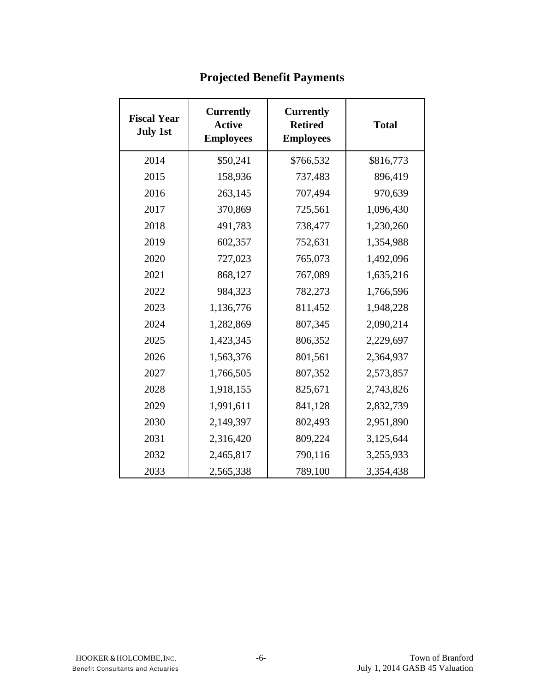| <b>Fiscal Year</b><br><b>July 1st</b> | <b>Currently</b><br><b>Active</b><br><b>Employees</b> | <b>Currently</b><br><b>Retired</b><br><b>Employees</b> | <b>Total</b> |
|---------------------------------------|-------------------------------------------------------|--------------------------------------------------------|--------------|
| 2014                                  | \$50,241                                              | \$766,532                                              | \$816,773    |
| 2015                                  | 158,936                                               | 737,483                                                | 896,419      |
| 2016                                  | 263,145                                               | 707,494                                                | 970,639      |
| 2017                                  | 370,869                                               | 725,561                                                | 1,096,430    |
| 2018                                  | 491,783                                               | 738,477                                                | 1,230,260    |
| 2019                                  | 602,357                                               | 752,631                                                | 1,354,988    |
| 2020                                  | 727,023                                               | 765,073                                                | 1,492,096    |
| 2021                                  | 868,127                                               | 767,089                                                | 1,635,216    |
| 2022                                  | 984,323                                               | 782,273                                                | 1,766,596    |
| 2023                                  | 1,136,776                                             | 811,452                                                | 1,948,228    |
| 2024                                  | 1,282,869                                             | 807,345                                                | 2,090,214    |
| 2025                                  | 1,423,345                                             | 806,352                                                | 2,229,697    |
| 2026                                  | 1,563,376                                             | 801,561                                                | 2,364,937    |
| 2027                                  | 1,766,505                                             | 807,352                                                | 2,573,857    |
| 2028                                  | 1,918,155                                             | 825,671                                                | 2,743,826    |
| 2029                                  | 1,991,611                                             | 841,128                                                | 2,832,739    |
| 2030                                  | 2,149,397                                             | 802,493                                                | 2,951,890    |
| 2031                                  | 2,316,420                                             | 809,224                                                | 3,125,644    |
| 2032                                  | 2,465,817                                             | 790,116                                                | 3,255,933    |
| 2033                                  | 2,565,338                                             | 789,100                                                | 3,354,438    |

# **Projected Benefit Payments**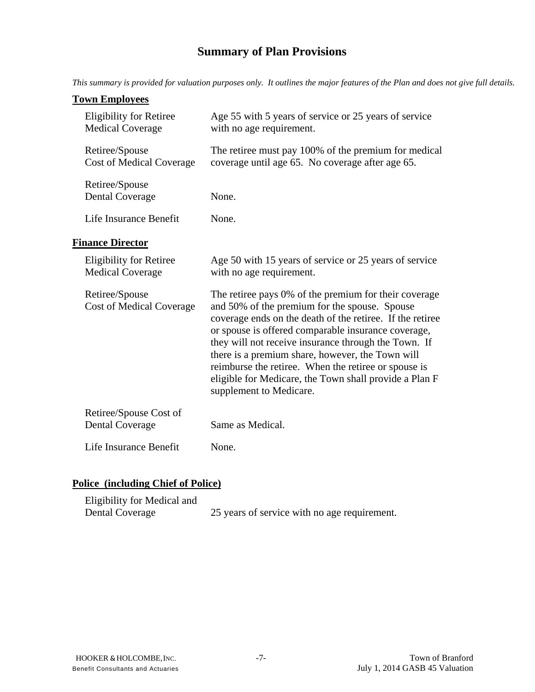# **Summary of Plan Provisions**

*This summary is provided for valuation purposes only. It outlines the major features of the Plan and does not give full details.* 

#### **Town Employees**

|                                                           | with no age requirement.                                                                                                                                                                                                                                                                                                                                                                                                                                                            |
|-----------------------------------------------------------|-------------------------------------------------------------------------------------------------------------------------------------------------------------------------------------------------------------------------------------------------------------------------------------------------------------------------------------------------------------------------------------------------------------------------------------------------------------------------------------|
| Retiree/Spouse<br><b>Cost of Medical Coverage</b>         | The retiree must pay 100% of the premium for medical<br>coverage until age 65. No coverage after age 65.                                                                                                                                                                                                                                                                                                                                                                            |
| Retiree/Spouse<br><b>Dental Coverage</b>                  | None.                                                                                                                                                                                                                                                                                                                                                                                                                                                                               |
| Life Insurance Benefit                                    | None.                                                                                                                                                                                                                                                                                                                                                                                                                                                                               |
| <b>Finance Director</b>                                   |                                                                                                                                                                                                                                                                                                                                                                                                                                                                                     |
| <b>Eligibility for Retiree</b><br><b>Medical Coverage</b> | Age 50 with 15 years of service or 25 years of service<br>with no age requirement.                                                                                                                                                                                                                                                                                                                                                                                                  |
|                                                           |                                                                                                                                                                                                                                                                                                                                                                                                                                                                                     |
| Retiree/Spouse<br><b>Cost of Medical Coverage</b>         | The retiree pays 0% of the premium for their coverage<br>and 50% of the premium for the spouse. Spouse<br>coverage ends on the death of the retiree. If the retiree<br>or spouse is offered comparable insurance coverage,<br>they will not receive insurance through the Town. If<br>there is a premium share, however, the Town will<br>reimburse the retiree. When the retiree or spouse is<br>eligible for Medicare, the Town shall provide a Plan F<br>supplement to Medicare. |
| Retiree/Spouse Cost of<br><b>Dental Coverage</b>          | Same as Medical.                                                                                                                                                                                                                                                                                                                                                                                                                                                                    |

## **Police (including Chief of Police)**

| Eligibility for Medical and |                                              |
|-----------------------------|----------------------------------------------|
| Dental Coverage             | 25 years of service with no age requirement. |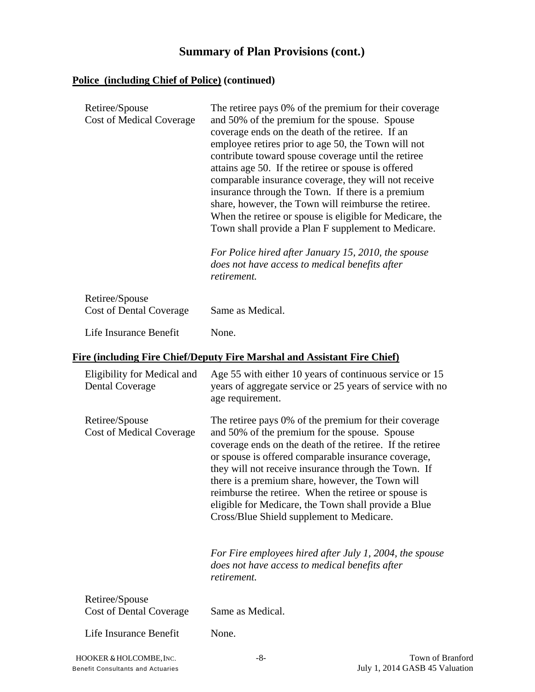## **Summary of Plan Provisions (cont.)**

#### **Police (including Chief of Police) (continued)**

| Retiree/Spouse<br><b>Cost of Medical Coverage</b> | The retiree pays 0% of the premium for their coverage<br>and 50% of the premium for the spouse. Spouse<br>coverage ends on the death of the retiree. If an<br>employee retires prior to age 50, the Town will not<br>contribute toward spouse coverage until the retiree<br>attains age 50. If the retiree or spouse is offered<br>comparable insurance coverage, they will not receive<br>insurance through the Town. If there is a premium<br>share, however, the Town will reimburse the retiree.<br>When the retiree or spouse is eligible for Medicare, the<br>Town shall provide a Plan F supplement to Medicare.<br>For Police hired after January 15, 2010, the spouse<br>does not have access to medical benefits after<br>retirement. |
|---------------------------------------------------|-------------------------------------------------------------------------------------------------------------------------------------------------------------------------------------------------------------------------------------------------------------------------------------------------------------------------------------------------------------------------------------------------------------------------------------------------------------------------------------------------------------------------------------------------------------------------------------------------------------------------------------------------------------------------------------------------------------------------------------------------|
| Retiree/Spouse<br><b>Cost of Dental Coverage</b>  | Same as Medical.                                                                                                                                                                                                                                                                                                                                                                                                                                                                                                                                                                                                                                                                                                                                |
| Life Insurance Benefit                            | None.                                                                                                                                                                                                                                                                                                                                                                                                                                                                                                                                                                                                                                                                                                                                           |

#### **Fire (including Fire Chief/Deputy Fire Marshal and Assistant Fire Chief)**

| Eligibility for Medical and<br><b>Dental Coverage</b> | Age 55 with either 10 years of continuous service or 15<br>years of aggregate service or 25 years of service with no<br>age requirement.                                                                                                                                                                                                                                                                                                                                                            |
|-------------------------------------------------------|-----------------------------------------------------------------------------------------------------------------------------------------------------------------------------------------------------------------------------------------------------------------------------------------------------------------------------------------------------------------------------------------------------------------------------------------------------------------------------------------------------|
| Retiree/Spouse<br><b>Cost of Medical Coverage</b>     | The retiree pays 0% of the premium for their coverage<br>and 50% of the premium for the spouse. Spouse<br>coverage ends on the death of the retiree. If the retiree<br>or spouse is offered comparable insurance coverage,<br>they will not receive insurance through the Town. If<br>there is a premium share, however, the Town will<br>reimburse the retiree. When the retiree or spouse is<br>eligible for Medicare, the Town shall provide a Blue<br>Cross/Blue Shield supplement to Medicare. |
|                                                       | For Fire employees hired after July 1, 2004, the spouse<br>does not have access to medical benefits after<br>retirement.                                                                                                                                                                                                                                                                                                                                                                            |
| Retiree/Spouse                                        |                                                                                                                                                                                                                                                                                                                                                                                                                                                                                                     |
| Cost of Dental Coverage                               | Same as Medical.                                                                                                                                                                                                                                                                                                                                                                                                                                                                                    |
| Life Insurance Benefit                                | None.                                                                                                                                                                                                                                                                                                                                                                                                                                                                                               |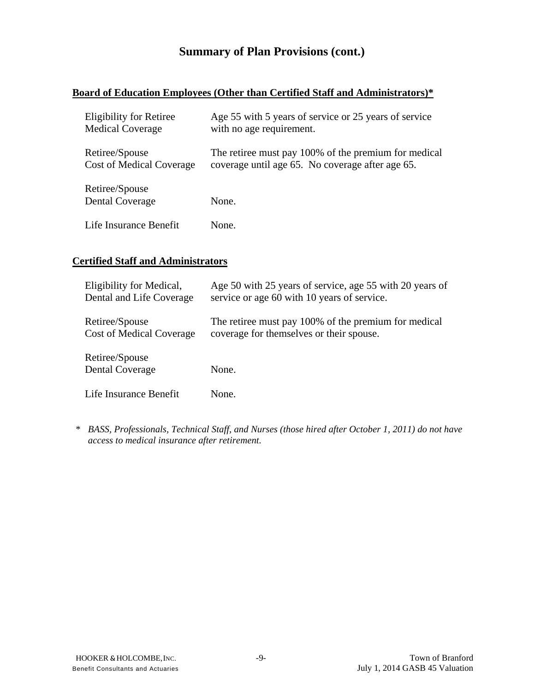## **Summary of Plan Provisions (cont.)**

#### **Board of Education Employees (Other than Certified Staff and Administrators)\***

| <b>Eligibility for Retiree</b>           | Age 55 with 5 years of service or 25 years of service |
|------------------------------------------|-------------------------------------------------------|
| <b>Medical Coverage</b>                  | with no age requirement.                              |
| Retiree/Spouse                           | The retiree must pay 100% of the premium for medical  |
| <b>Cost of Medical Coverage</b>          | coverage until age 65. No coverage after age 65.      |
| Retiree/Spouse<br><b>Dental Coverage</b> | None.                                                 |
| Life Insurance Benefit                   | None.                                                 |

#### **Certified Staff and Administrators**

| Eligibility for Medical,                 | Age 50 with 25 years of service, age 55 with 20 years of |
|------------------------------------------|----------------------------------------------------------|
| Dental and Life Coverage                 | service or age 60 with 10 years of service.              |
| Retiree/Spouse                           | The retiree must pay 100% of the premium for medical     |
| <b>Cost of Medical Coverage</b>          | coverage for themselves or their spouse.                 |
| Retiree/Spouse<br><b>Dental Coverage</b> | None.                                                    |
| Life Insurance Benefit                   | None.                                                    |

 *\* BASS, Professionals, Technical Staff, and Nurses (those hired after October 1, 2011) do not have access to medical insurance after retirement.*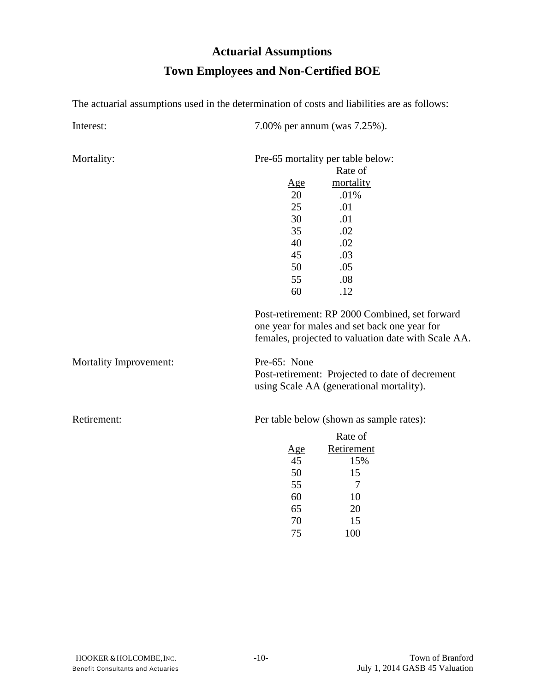# **Actuarial Assumptions Town Employees and Non-Certified BOE**

The actuarial assumptions used in the determination of costs and liabilities are as follows:

Mortality: Pre-65 mortality per table below:

|                               | Rate of                                                                                                                                               |
|-------------------------------|-------------------------------------------------------------------------------------------------------------------------------------------------------|
|                               | $\underline{Age}$<br>mortality                                                                                                                        |
|                               | 20<br>.01%                                                                                                                                            |
|                               | 25<br>.01                                                                                                                                             |
|                               | 30<br>.01                                                                                                                                             |
|                               | 35<br>.02                                                                                                                                             |
|                               | 40<br>.02                                                                                                                                             |
|                               | 45<br>.03                                                                                                                                             |
|                               | 50<br>.05                                                                                                                                             |
|                               | 55<br>.08                                                                                                                                             |
|                               | 60<br>.12                                                                                                                                             |
|                               | Post-retirement: RP 2000 Combined, set forward<br>one year for males and set back one year for<br>females, projected to valuation date with Scale AA. |
| <b>Mortality Improvement:</b> | Pre-65: None                                                                                                                                          |
|                               | Post-retirement: Projected to date of decrement<br>using Scale AA (generational mortality).                                                           |
| Retirement:                   | Per table below (shown as sample rates):                                                                                                              |
|                               | Rate of                                                                                                                                               |
|                               | Retirement<br>Age                                                                                                                                     |
|                               | 45<br>15%                                                                                                                                             |
|                               | 50<br>15                                                                                                                                              |
|                               | 55<br>7                                                                                                                                               |
|                               | 60<br>10                                                                                                                                              |
|                               | 65<br>20                                                                                                                                              |
|                               | 70<br>15                                                                                                                                              |

75

100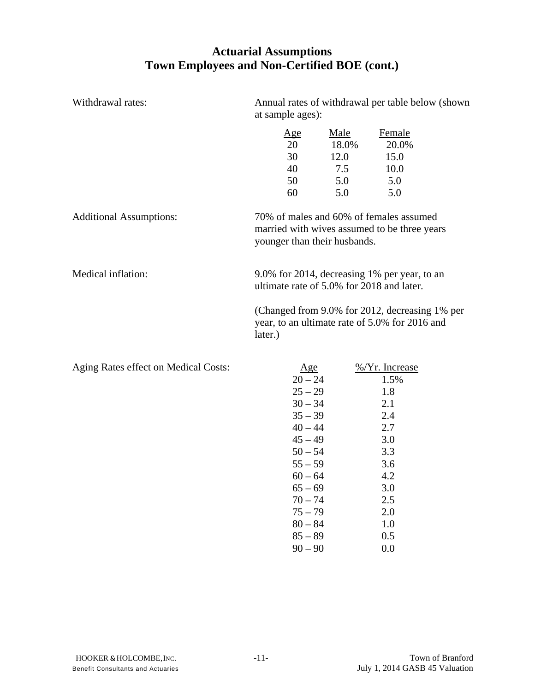### **Actuarial Assumptions Town Employees and Non-Certified BOE (cont.)**

| Withdrawal rates:                    | Annual rates of withdrawal per table below (shown)<br>at sample ages):  |                                                   |                                                                                                  |
|--------------------------------------|-------------------------------------------------------------------------|---------------------------------------------------|--------------------------------------------------------------------------------------------------|
|                                      | <u>Age</u><br>20<br>30<br>40<br>50<br>60                                | <u>Male</u><br>18.0%<br>12.0<br>7.5<br>5.0<br>5.0 | Female<br>20.0%<br>15.0<br>10.0<br>5.0<br>5.0                                                    |
| <b>Additional Assumptions:</b>       | 70% of males and 60% of females assumed<br>younger than their husbands. |                                                   | married with wives assumed to be three years                                                     |
| Medical inflation:                   | ultimate rate of 5.0% for 2018 and later.                               |                                                   | 9.0% for 2014, decreasing 1% per year, to an                                                     |
|                                      | later.)                                                                 |                                                   | (Changed from 9.0% for 2012, decreasing 1% per<br>year, to an ultimate rate of 5.0% for 2016 and |
| Aging Rates effect on Medical Costs: | Age<br>$20 - 24$<br>$25 - 29$<br>$30 - 34$                              |                                                   | $\frac{\%}{Yr}$ . Increase<br>1.5%<br>1.8<br>2.1                                                 |

| $1.5ms$ rates effect on meanear esses. | <u>ده د م</u> | $\overline{0}$ |
|----------------------------------------|---------------|----------------|
|                                        | $20 - 24$     | 1.5%           |
|                                        | $25 - 29$     | 1.8            |
|                                        | $30 - 34$     | 2.1            |
|                                        | $35 - 39$     | 2.4            |
|                                        | $40 - 44$     | 2.7            |
|                                        | $45 - 49$     | 3.0            |
|                                        | $50 - 54$     | 3.3            |
|                                        | $55 - 59$     | 3.6            |
|                                        | $60 - 64$     | 4.2            |
|                                        | $65 - 69$     | 3.0            |
|                                        | $70 - 74$     | 2.5            |
|                                        | $75 - 79$     | 2.0            |
|                                        | $80 - 84$     | 1.0            |
|                                        | $85 - 89$     | 0.5            |
|                                        | $90 - 90$     | 0.0            |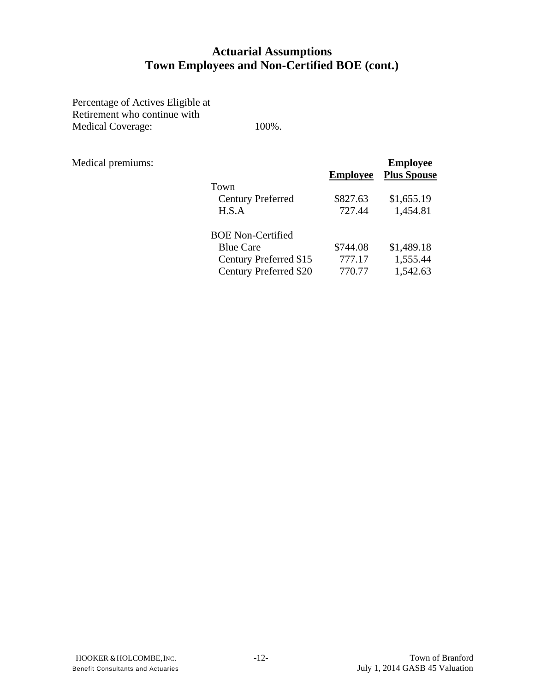### **Actuarial Assumptions Town Employees and Non-Certified BOE (cont.)**

Percentage of Actives Eligible at Retirement who continue with Medical Coverage: 100%.

| Medical premiums: |                               |                 | <b>Employee</b>    |
|-------------------|-------------------------------|-----------------|--------------------|
|                   |                               | <b>Employee</b> | <b>Plus Spouse</b> |
|                   | Town                          |                 |                    |
|                   | <b>Century Preferred</b>      | \$827.63        | \$1,655.19         |
|                   | H.S.A                         | 727.44          | 1,454.81           |
|                   | <b>BOE Non-Certified</b>      |                 |                    |
|                   | <b>Blue Care</b>              | \$744.08        | \$1,489.18         |
|                   | Century Preferred \$15        | 777.17          | 1,555.44           |
|                   | <b>Century Preferred \$20</b> | 770.77          | 1,542.63           |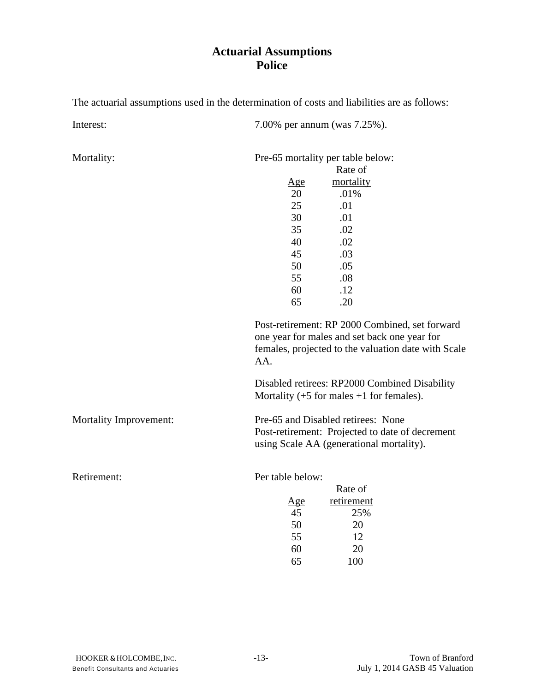### **Actuarial Assumptions Police**

The actuarial assumptions used in the determination of costs and liabilities are as follows:

Interest: 7.00% per annum (was 7.25%).

Mortality: Pre-65 mortality per table below:

|            | Rate of   |
|------------|-----------|
| <u>Age</u> | mortality |
| 20         | .01%      |
| 25         | .01       |
| 30         | .01       |
| 35         | .02       |
| 40         | .02       |
| 45         | .03       |
| 50         | .05       |
| 55         | .08       |
| 60         | .12       |
| 65         | .20       |

 Post-retirement: RP 2000 Combined, set forward one year for males and set back one year for females, projected to the valuation date with Scale AA.

 Disabled retirees: RP2000 Combined Disability Mortality  $(+5$  for males  $+1$  for females).

Mortality Improvement: Pre-65 and Disabled retirees: None

 Post-retirement: Projected to date of decrement using Scale AA (generational mortality).

Retirement: Per table below:

|     | Rate of    |
|-----|------------|
| Age | retirement |
| 45  | 25%        |
| 50  | 20         |
| 55  | 12         |
| 60  | 20         |
| 65  | 100        |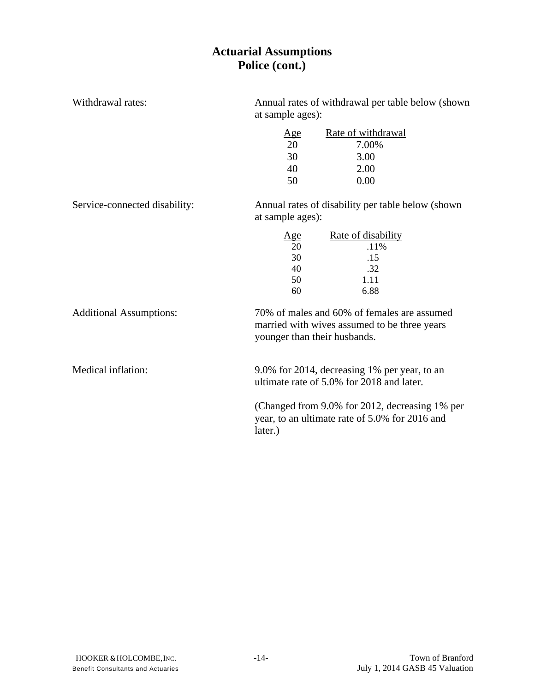### **Actuarial Assumptions Police (cont.)**

| Withdrawal rates:              | Annual rates of withdrawal per table below (shown<br>at sample ages):  |                                                                                                  |  |  |
|--------------------------------|------------------------------------------------------------------------|--------------------------------------------------------------------------------------------------|--|--|
|                                | <u>Age</u>                                                             | Rate of withdrawal                                                                               |  |  |
|                                | 20                                                                     | 7.00%                                                                                            |  |  |
|                                | 30                                                                     | 3.00                                                                                             |  |  |
|                                | 40                                                                     | 2.00                                                                                             |  |  |
|                                | 50                                                                     | 0.00                                                                                             |  |  |
| Service-connected disability:  | Annual rates of disability per table below (shown)<br>at sample ages): |                                                                                                  |  |  |
|                                | <u>Age</u>                                                             | Rate of disability                                                                               |  |  |
|                                | 20                                                                     | .11%                                                                                             |  |  |
|                                | 30                                                                     | .15                                                                                              |  |  |
|                                | 40                                                                     | .32                                                                                              |  |  |
|                                | 50                                                                     | 1.11                                                                                             |  |  |
|                                | 60                                                                     | 6.88                                                                                             |  |  |
| <b>Additional Assumptions:</b> | younger than their husbands.                                           | 70% of males and 60% of females are assumed<br>married with wives assumed to be three years      |  |  |
| Medical inflation:             |                                                                        | 9.0% for 2014, decreasing 1% per year, to an<br>ultimate rate of 5.0% for 2018 and later.        |  |  |
|                                | later.)                                                                | (Changed from 9.0% for 2012, decreasing 1% per<br>year, to an ultimate rate of 5.0% for 2016 and |  |  |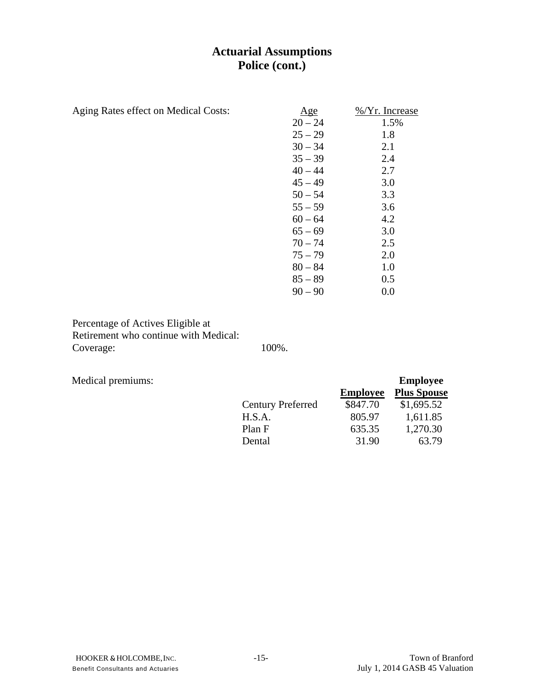### **Actuarial Assumptions Police (cont.)**

| Aging Rates effect on Medical Costs: | Age       | %/Yr. Increase |
|--------------------------------------|-----------|----------------|
|                                      | $20 - 24$ | 1.5%           |
|                                      | $25 - 29$ | 1.8            |
|                                      | $30 - 34$ | 2.1            |
|                                      | $35 - 39$ | 2.4            |
|                                      | $40 - 44$ | 2.7            |
|                                      | $45 - 49$ | 3.0            |
|                                      | $50 - 54$ | 3.3            |
|                                      | $55 - 59$ | 3.6            |
|                                      | $60 - 64$ | 4.2            |
|                                      | $65 - 69$ | 3.0            |
|                                      | $70 - 74$ | 2.5            |
|                                      | $75 - 79$ | 2.0            |
|                                      | $80 - 84$ | 1.0            |
|                                      | $85 - 89$ | 0.5            |
|                                      | $90 - 90$ | 0.0            |

Percentage of Actives Eligible at Retirement who continue with Medical: Coverage: 100%.

Medical premiums:

| Medical premiums: |                          |                 | <b>Employee</b>    |
|-------------------|--------------------------|-----------------|--------------------|
|                   |                          | <b>Employee</b> | <b>Plus Spouse</b> |
|                   | <b>Century Preferred</b> | \$847.70        | \$1,695.52         |
|                   | H.S.A.                   | 805.97          | 1,611.85           |
|                   | Plan F                   | 635.35          | 1,270.30           |
|                   | Dental                   | 31.90           | 63.79              |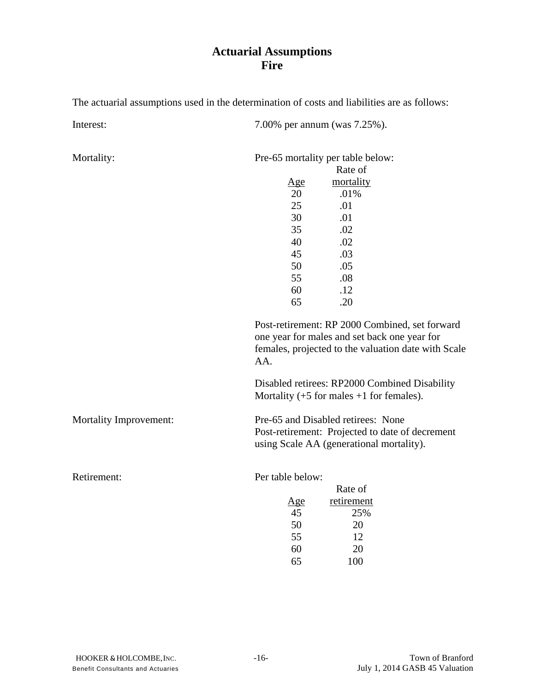### **Actuarial Assumptions Fire**

The actuarial assumptions used in the determination of costs and liabilities are as follows:

Interest: 7.00% per annum (was 7.25%).

Mortality: Pre-65 mortality per table below:

|            | Rate of   |
|------------|-----------|
| <u>Age</u> | mortality |
| 20         | .01%      |
| 25         | .01       |
| 30         | .01       |
| 35         | .02       |
| 40         | .02       |
| 45         | .03       |
| 50         | .05       |
| 55         | .08       |
| 60         | .12       |
| 65         | .20       |

 Post-retirement: RP 2000 Combined, set forward one year for males and set back one year for females, projected to the valuation date with Scale AA.

 Disabled retirees: RP2000 Combined Disability Mortality  $(+5$  for males  $+1$  for females).

Mortality Improvement: Pre-65 and Disabled retirees: None

 Post-retirement: Projected to date of decrement using Scale AA (generational mortality).

Retirement: Per table below:

|     | Rate of    |
|-----|------------|
| Age | retirement |
| 45  | 25%        |
| 50  | 20         |
| 55  | 12         |
| 60  | 20         |
| 65  | 100        |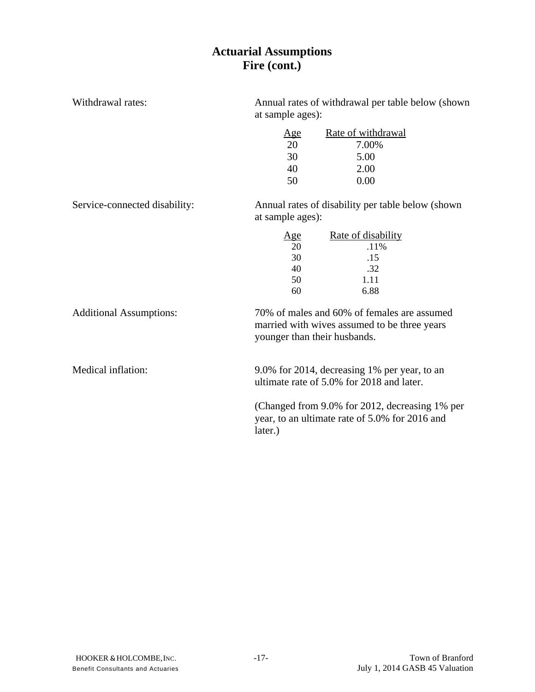### **Actuarial Assumptions Fire (cont.)**

| Withdrawal rates:              | Annual rates of withdrawal per table below (shown<br>at sample ages): |                                                                                                  |  |  |
|--------------------------------|-----------------------------------------------------------------------|--------------------------------------------------------------------------------------------------|--|--|
|                                | <u>Age</u>                                                            | Rate of withdrawal                                                                               |  |  |
|                                | 20                                                                    | 7.00%                                                                                            |  |  |
|                                | 30                                                                    | 5.00                                                                                             |  |  |
|                                | 40                                                                    | 2.00                                                                                             |  |  |
|                                | 50                                                                    | 0.00                                                                                             |  |  |
| Service-connected disability:  | Annual rates of disability per table below (shown<br>at sample ages): |                                                                                                  |  |  |
|                                | Age                                                                   | <u>Rate of disability</u>                                                                        |  |  |
|                                | 20                                                                    | .11%                                                                                             |  |  |
|                                | 30                                                                    | .15                                                                                              |  |  |
|                                | 40                                                                    | .32                                                                                              |  |  |
|                                | 50                                                                    | 1.11                                                                                             |  |  |
|                                | 60                                                                    | 6.88                                                                                             |  |  |
| <b>Additional Assumptions:</b> | younger than their husbands.                                          | 70% of males and 60% of females are assumed<br>married with wives assumed to be three years      |  |  |
| Medical inflation:             |                                                                       | 9.0% for 2014, decreasing 1% per year, to an<br>ultimate rate of 5.0% for 2018 and later.        |  |  |
|                                | later.)                                                               | (Changed from 9.0% for 2012, decreasing 1% per<br>year, to an ultimate rate of 5.0% for 2016 and |  |  |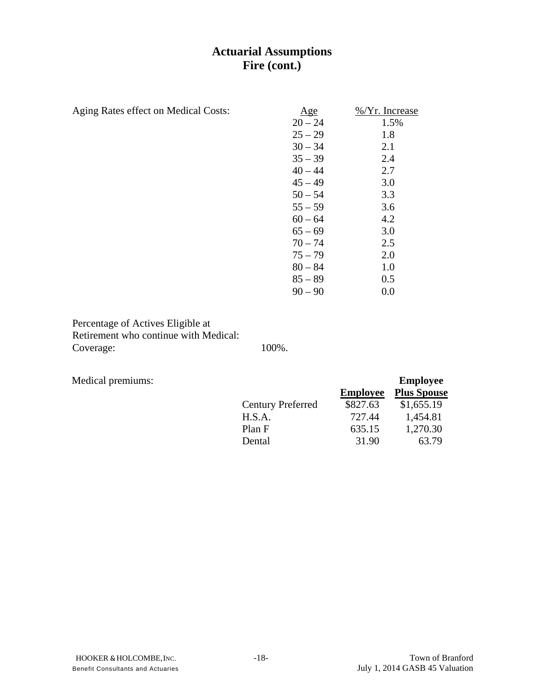### **Actuarial Assumptions Fire (cont.)**

| Aging Rates effect on Medical Costs: | Age       | %/Yr. Increase |
|--------------------------------------|-----------|----------------|
|                                      | $20 - 24$ | 1.5%           |
|                                      | $25 - 29$ | 1.8            |
|                                      | $30 - 34$ | 2.1            |
|                                      | $35 - 39$ | 2.4            |
|                                      | $40 - 44$ | 2.7            |
|                                      | $45 - 49$ | 3.0            |
|                                      | $50 - 54$ | 3.3            |
|                                      | $55 - 59$ | 3.6            |
|                                      | $60 - 64$ | 4.2            |
|                                      | $65 - 69$ | 3.0            |
|                                      | $70 - 74$ | 2.5            |
|                                      | $75 - 79$ | 2.0            |
|                                      | $80 - 84$ | 1.0            |
|                                      | $85 - 89$ | 0.5            |
|                                      | $90 - 90$ | 0.0            |

Percentage of Actives Eligible at Retirement who continue with Medical: Coverage: 100%.

Medical premiums:

| Medical premiums: |                          |                 | <b>Employee</b>    |
|-------------------|--------------------------|-----------------|--------------------|
|                   |                          | <b>Employee</b> | <b>Plus Spouse</b> |
|                   | <b>Century Preferred</b> | \$827.63        | \$1,655.19         |
|                   | H.S.A.                   | 727.44          | 1,454.81           |
|                   | Plan F                   | 635.15          | 1,270.30           |
|                   | Dental                   | 31.90           | 63.79              |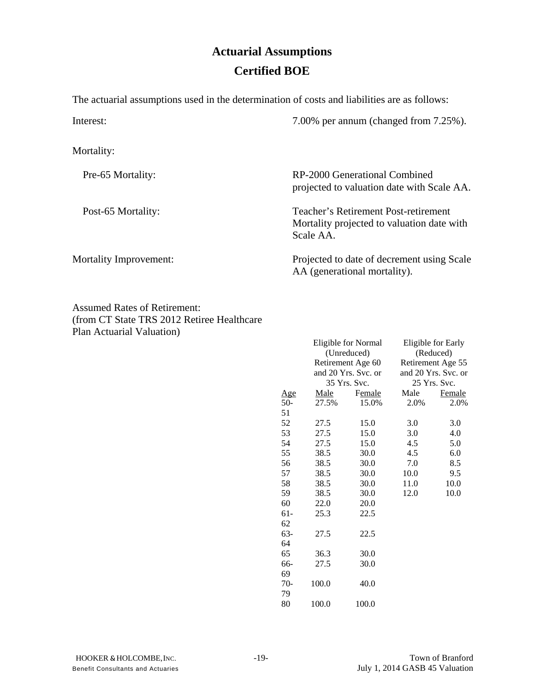# **Actuarial Assumptions Certified BOE**

The actuarial assumptions used in the determination of costs and liabilities are as follows:

Interest: 7.00% per annum (changed from 7.25%). Mortality: Pre-65 Mortality: RP-2000 Generational Combined projected to valuation date with Scale AA. Post-65 Mortality: Teacher's Retirement Post-retirement Mortality projected to valuation date with Scale AA. Mortality Improvement: Projected to date of decrement using Scale AA (generational mortality).

Assumed Rates of Retirement: (from CT State TRS 2012 Retiree Healthcare Plan Actuarial Valuation)

|            |             | Eligible for Normal |                     | Eligible for Early |  |
|------------|-------------|---------------------|---------------------|--------------------|--|
|            | (Unreduced) |                     | (Reduced)           |                    |  |
|            |             | Retirement Age 60   |                     | Retirement Age 55  |  |
|            |             | and 20 Yrs. Svc. or | and 20 Yrs. Svc. or |                    |  |
|            |             | 35 Yrs. Svc.        |                     | 25 Yrs. Svc.       |  |
| <u>Age</u> | Male        | Female              | Male                | Female             |  |
| $50-$      | 27.5%       | 15.0%               | 2.0%                | 2.0%               |  |
| 51         |             |                     |                     |                    |  |
| 52         | 27.5        | 15.0                | 3.0                 | 3.0                |  |
| 53         | 27.5        | 15.0                | 3.0                 | 4.0                |  |
| 54         | 27.5        | 15.0                | 4.5                 | 5.0                |  |
| 55         | 38.5        | 30.0                | 4.5                 | 6.0                |  |
| 56         | 38.5        | 30.0                | 7.0                 | 8.5                |  |
| 57         | 38.5        | 30.0                | 10.0                | 9.5                |  |
| 58         | 38.5        | 30.0                | 11.0                | 10.0               |  |
| 59         | 38.5        | 30.0                | 12.0                | 10.0               |  |
| 60         | 22.0        | 20.0                |                     |                    |  |
| $61 -$     | 25.3        | 22.5                |                     |                    |  |
| 62         |             |                     |                     |                    |  |
| 63-        | 27.5        | 22.5                |                     |                    |  |
| 64         |             |                     |                     |                    |  |
| 65         | 36.3        | 30.0                |                     |                    |  |
| 66-        | 27.5        | 30.0                |                     |                    |  |
| 69         |             |                     |                     |                    |  |
| $70-$      | 100.0       | 40.0                |                     |                    |  |
| 79         |             |                     |                     |                    |  |
| 80         | 100.0       | 100.0               |                     |                    |  |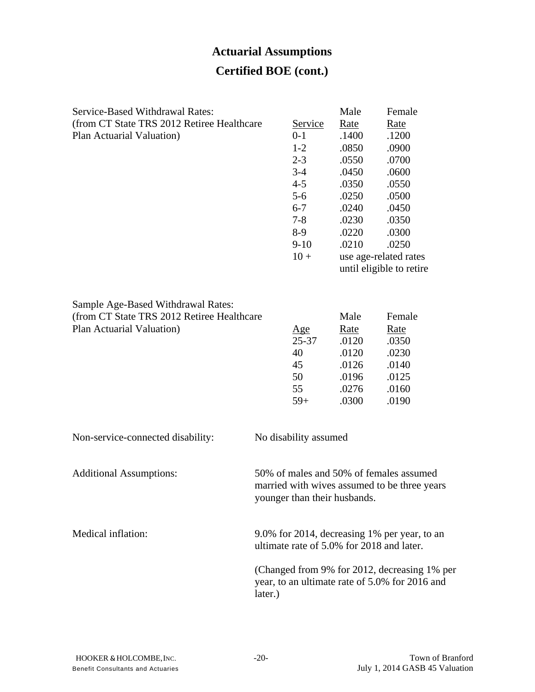# **Actuarial Assumptions Certified BOE (cont.)**

| <b>Service-Based Withdrawal Rates:</b><br>(from CT State TRS 2012 Retiree Healthcare<br>Plan Actuarial Valuation) |         | Service<br>$0 - 1$<br>$1-2$<br>$2 - 3$<br>$3-4$<br>$4 - 5$<br>$5 - 6$<br>$6 - 7$<br>$7 - 8$<br>8-9<br>$9-10$<br>$10 +$ | Male<br><u>Rate</u><br>.1400<br>.0850<br>.0550<br>.0450<br>.0350<br>.0250<br>.0240<br>.0230<br>.0220<br>.0210<br>use age-related rates | Female<br><u>Rate</u><br>.1200<br>.0900<br>.0700<br>.0600<br>.0550<br>.0500<br>.0450<br>.0350<br>.0300<br>.0250<br>until eligible to retire |
|-------------------------------------------------------------------------------------------------------------------|---------|------------------------------------------------------------------------------------------------------------------------|----------------------------------------------------------------------------------------------------------------------------------------|---------------------------------------------------------------------------------------------------------------------------------------------|
| Sample Age-Based Withdrawal Rates:<br>(from CT State TRS 2012 Retiree Healthcare<br>Plan Actuarial Valuation)     |         | <u>Age</u><br>$25 - 37$<br>40<br>45<br>50<br>55<br>$59+$                                                               | Male<br>Rate<br>.0120<br>.0120<br>.0126<br>.0196<br>.0276<br>.0300                                                                     | Female<br><u>Rate</u><br>.0350<br>.0230<br>.0140<br>.0125<br>.0160<br>.0190                                                                 |
| Non-service-connected disability:                                                                                 |         | No disability assumed                                                                                                  |                                                                                                                                        |                                                                                                                                             |
| <b>Additional Assumptions:</b>                                                                                    |         | younger than their husbands.                                                                                           |                                                                                                                                        | 50% of males and 50% of females assumed<br>married with wives assumed to be three years                                                     |
| Medical inflation:                                                                                                |         |                                                                                                                        | ultimate rate of 5.0% for 2018 and later.                                                                                              | 9.0% for 2014, decreasing 1% per year, to an                                                                                                |
|                                                                                                                   | later.) |                                                                                                                        |                                                                                                                                        | (Changed from 9% for 2012, decreasing 1% per<br>year, to an ultimate rate of 5.0% for 2016 and                                              |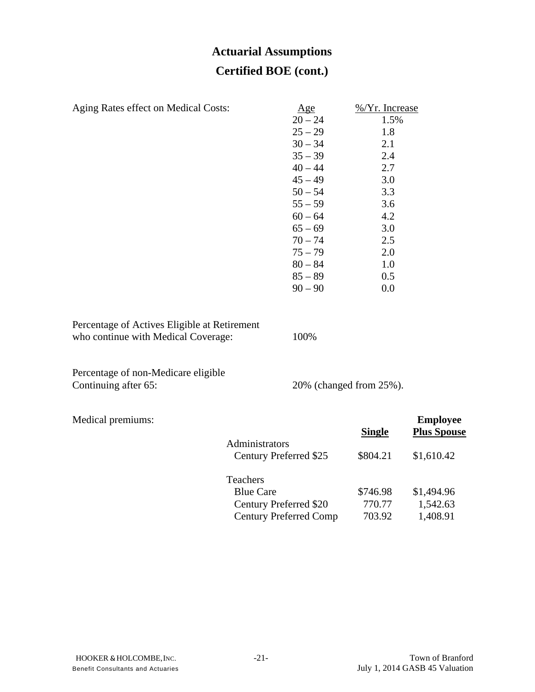# **Actuarial Assumptions Certified BOE (cont.)**

| Aging Rates effect on Medical Costs:                                                |                               | Age                    | %/Yr. Increase          |                                       |
|-------------------------------------------------------------------------------------|-------------------------------|------------------------|-------------------------|---------------------------------------|
|                                                                                     |                               | $20 - 24$              | 1.5%                    |                                       |
|                                                                                     |                               | $25 - 29$              | 1.8                     |                                       |
|                                                                                     |                               | $30 - 34$              | 2.1                     |                                       |
|                                                                                     |                               | $35 - 39$              | 2.4                     |                                       |
|                                                                                     |                               | $40 - 44$              | 2.7                     |                                       |
|                                                                                     |                               | $45 - 49$              | 3.0<br>3.3              |                                       |
|                                                                                     |                               | $50 - 54$<br>$55 - 59$ | 3.6                     |                                       |
|                                                                                     |                               | $60 - 64$              | 4.2                     |                                       |
|                                                                                     |                               | $65 - 69$              | 3.0                     |                                       |
|                                                                                     |                               | $70 - 74$              | 2.5                     |                                       |
|                                                                                     |                               | $75 - 79$              | 2.0                     |                                       |
|                                                                                     |                               | $80 - 84$              | 1.0                     |                                       |
|                                                                                     |                               | $85 - 89$              | 0.5                     |                                       |
|                                                                                     |                               | $90 - 90$              | 0.0                     |                                       |
| Percentage of Actives Eligible at Retirement<br>who continue with Medical Coverage: |                               | 100%                   |                         |                                       |
| Percentage of non-Medicare eligible<br>Continuing after 65:                         |                               |                        | 20% (changed from 25%). |                                       |
| Medical premiums:                                                                   |                               |                        | <b>Single</b>           | <b>Employee</b><br><b>Plus Spouse</b> |
|                                                                                     | Administrators                |                        |                         |                                       |
|                                                                                     | Century Preferred \$25        |                        | \$804.21                | \$1,610.42                            |
|                                                                                     | Teachers                      |                        |                         |                                       |
|                                                                                     | <b>Blue Care</b>              |                        | \$746.98                | \$1,494.96                            |
|                                                                                     | Century Preferred \$20        |                        | 770.77                  | 1,542.63                              |
|                                                                                     | <b>Century Preferred Comp</b> |                        | 703.92                  | 1,408.91                              |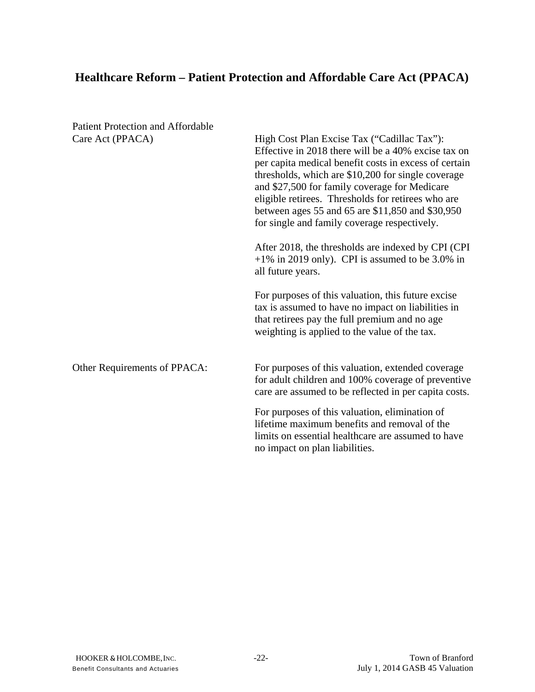# **Healthcare Reform – Patient Protection and Affordable Care Act (PPACA)**

| <b>Patient Protection and Affordable</b> |                                                                                                                                                                                                                                                                                                                                                                                                                              |  |  |
|------------------------------------------|------------------------------------------------------------------------------------------------------------------------------------------------------------------------------------------------------------------------------------------------------------------------------------------------------------------------------------------------------------------------------------------------------------------------------|--|--|
| Care Act (PPACA)                         | High Cost Plan Excise Tax ("Cadillac Tax"):<br>Effective in 2018 there will be a 40% excise tax on<br>per capita medical benefit costs in excess of certain<br>thresholds, which are \$10,200 for single coverage<br>and \$27,500 for family coverage for Medicare<br>eligible retirees. Thresholds for retirees who are<br>between ages 55 and 65 are \$11,850 and \$30,950<br>for single and family coverage respectively. |  |  |
|                                          | After 2018, the thresholds are indexed by CPI (CPI)<br>$+1\%$ in 2019 only). CPI is assumed to be 3.0% in<br>all future years.                                                                                                                                                                                                                                                                                               |  |  |
|                                          | For purposes of this valuation, this future excise<br>tax is assumed to have no impact on liabilities in<br>that retirees pay the full premium and no age<br>weighting is applied to the value of the tax.                                                                                                                                                                                                                   |  |  |
| Other Requirements of PPACA:             | For purposes of this valuation, extended coverage<br>for adult children and 100% coverage of preventive<br>care are assumed to be reflected in per capita costs.                                                                                                                                                                                                                                                             |  |  |
|                                          | For purposes of this valuation, elimination of<br>lifetime maximum benefits and removal of the<br>limits on essential healthcare are assumed to have<br>no impact on plan liabilities.                                                                                                                                                                                                                                       |  |  |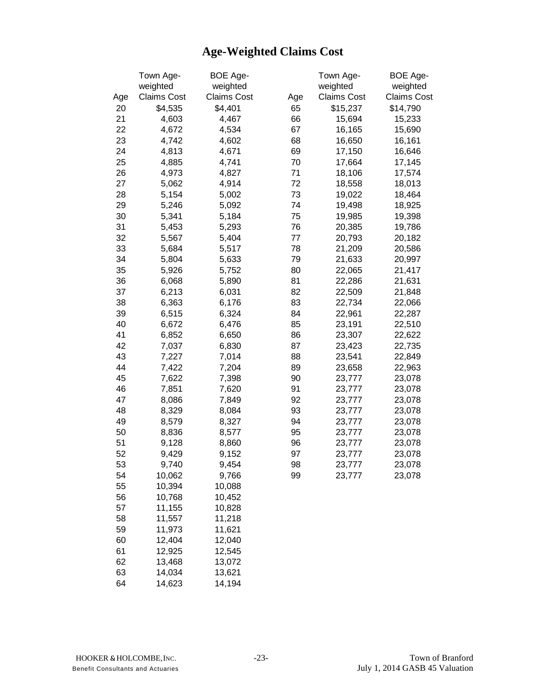# **Age-Weighted Claims Cost**

|     | Town Age-          | BOE Age-           |     | Town Age-          | <b>BOE Age-</b>    |
|-----|--------------------|--------------------|-----|--------------------|--------------------|
|     | weighted           | weighted           |     | weighted           | weighted           |
| Age | <b>Claims Cost</b> | <b>Claims Cost</b> | Age | <b>Claims Cost</b> | <b>Claims Cost</b> |
| 20  | \$4,535            | \$4,401            | 65  | \$15,237           | \$14,790           |
| 21  | 4,603              | 4,467              | 66  | 15,694             | 15,233             |
| 22  | 4,672              | 4,534              | 67  | 16,165             | 15,690             |
| 23  | 4,742              | 4,602              | 68  | 16,650             | 16,161             |
| 24  | 4,813              | 4,671              | 69  | 17,150             | 16,646             |
| 25  | 4,885              | 4,741              | 70  | 17,664             | 17,145             |
| 26  | 4,973              | 4,827              | 71  | 18,106             | 17,574             |
| 27  | 5,062              | 4,914              | 72  | 18,558             | 18,013             |
| 28  | 5,154              | 5,002              | 73  | 19,022             | 18,464             |
| 29  | 5,246              | 5,092              | 74  | 19,498             | 18,925             |
| 30  | 5,341              | 5,184              | 75  | 19,985             | 19,398             |
| 31  | 5,453              | 5,293              | 76  | 20,385             | 19,786             |
| 32  | 5,567              | 5,404              | 77  | 20,793             | 20,182             |
| 33  | 5,684              | 5,517              | 78  | 21,209             | 20,586             |
| 34  | 5,804              | 5,633              | 79  | 21,633             | 20,997             |
| 35  | 5,926              | 5,752              | 80  | 22,065             | 21,417             |
| 36  | 6,068              | 5,890              | 81  | 22,286             | 21,631             |
| 37  | 6,213              | 6,031              | 82  | 22,509             | 21,848             |
| 38  | 6,363              | 6,176              | 83  | 22,734             | 22,066             |
| 39  | 6,515              | 6,324              | 84  | 22,961             | 22,287             |
| 40  | 6,672              | 6,476              | 85  | 23,191             | 22,510             |
| 41  | 6,852              | 6,650              | 86  | 23,307             | 22,622             |
| 42  | 7,037              | 6,830              | 87  | 23,423             | 22,735             |
| 43  | 7,227              | 7,014              | 88  | 23,541             | 22,849             |
| 44  | 7,422              | 7,204              | 89  | 23,658             | 22,963             |
| 45  | 7,622              | 7,398              | 90  | 23,777             | 23,078             |
| 46  | 7,851              | 7,620              | 91  | 23,777             | 23,078             |
| 47  | 8,086              | 7,849              | 92  | 23,777             | 23,078             |
| 48  | 8,329              | 8,084              | 93  | 23,777             | 23,078             |
| 49  | 8,579              | 8,327              | 94  | 23,777             | 23,078             |
| 50  | 8,836              | 8,577              | 95  | 23,777             | 23,078             |
| 51  | 9,128              | 8,860              | 96  | 23,777             | 23,078             |
| 52  | 9,429              | 9,152              | 97  | 23,777             | 23,078             |
| 53  | 9,740              | 9,454              | 98  | 23,777             | 23,078             |
| 54  | 10,062             | 9,766              | 99  | 23,777             | 23,078             |
| 55  | 10,394             | 10,088             |     |                    |                    |
| 56  | 10,768             | 10,452             |     |                    |                    |
| 57  | 11,155             | 10,828             |     |                    |                    |
| 58  | 11,557             | 11,218             |     |                    |                    |
| 59  | 11,973             | 11,621             |     |                    |                    |
| 60  | 12,404             | 12,040             |     |                    |                    |
| 61  | 12,925             | 12,545             |     |                    |                    |
| 62  | 13,468             | 13,072             |     |                    |                    |
| 63  | 14,034             | 13,621             |     |                    |                    |
| 64  | 14,623             | 14,194             |     |                    |                    |
|     |                    |                    |     |                    |                    |